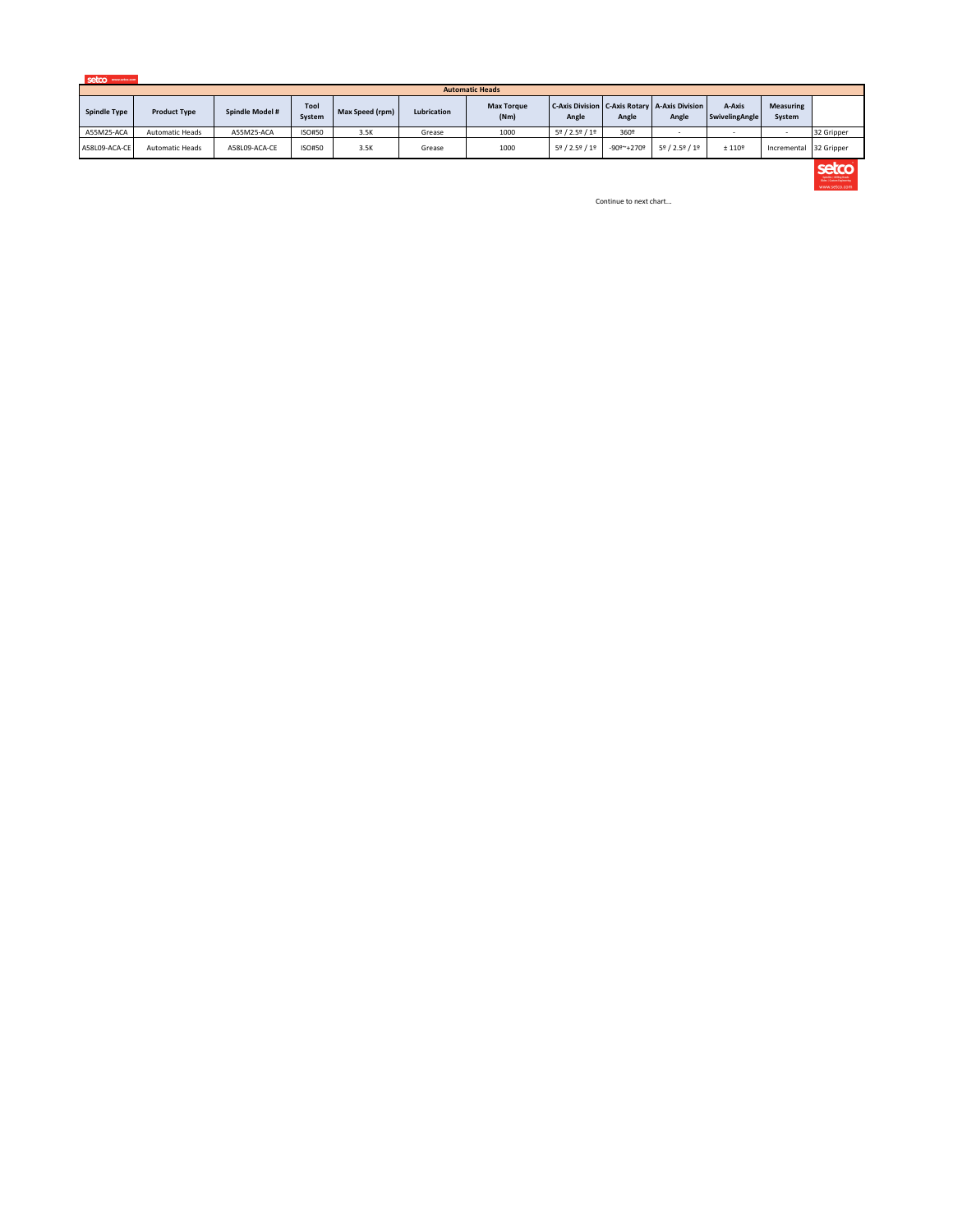

|                     | <b>Automatic Heads</b> |                 |                |                 |             |                           |                                             |            |                                                                     |                          |                            |            |
|---------------------|------------------------|-----------------|----------------|-----------------|-------------|---------------------------|---------------------------------------------|------------|---------------------------------------------------------------------|--------------------------|----------------------------|------------|
| <b>Spindle Type</b> | <b>Product Type</b>    | Spindle Model # | Tool<br>System | Max Speed (rpm) | Lubrication | <b>Max Torque</b><br>(Nm) | Angle                                       | Angle      | <b>C-Axis Division   C-Axis Rotary   A-Axis Division  </b><br>Angle | A-Axis<br>SwivelingAngle | <b>Measuring</b><br>System |            |
| A55M25-ACA          | <b>Automatic Heads</b> | A55M25-ACA      | ISO#50         | 3.5K            | Grease      | 1000                      | 5º / 2.5º / 1º                              | 360°       |                                                                     |                          |                            | 32 Gripper |
| A58L09-ACA-CE       | <b>Automatic Heads</b> | A58L09-ACA-CE   | ISO#50         | 3.5K            | Grease      | 1000                      | $5^{\circ}$ / 2.5 $^{\circ}$ / 1 $^{\circ}$ | -90º~+270º | 5º / 2.5º / 1º                                                      | ± 110°                   | Incremental 32 Gripper     |            |



## Continue to next chart...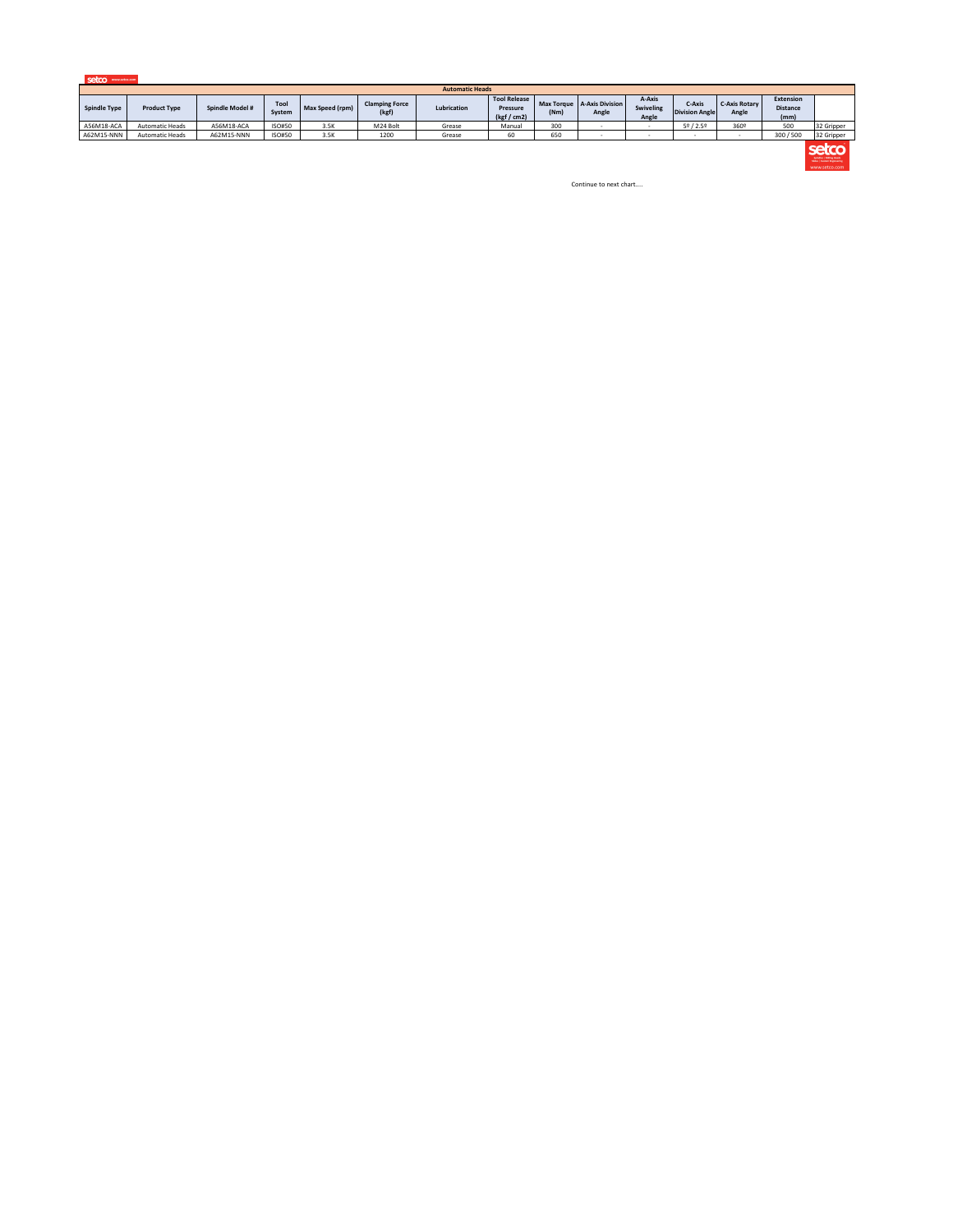

|                     | <b>Automatic Heads</b> |                 |                |                        |                                |             |                                                       |      |                                       |                              |                                 |                               |                                             |            |
|---------------------|------------------------|-----------------|----------------|------------------------|--------------------------------|-------------|-------------------------------------------------------|------|---------------------------------------|------------------------------|---------------------------------|-------------------------------|---------------------------------------------|------------|
| <b>Spindle Type</b> | <b>Product Type</b>    | Spindle Model # | Tool<br>System | <b>Max Speed (rpm)</b> | <b>Clamping Force</b><br>(kgf) | Lubrication | <b>Tool Release</b><br><b>Pressure</b><br>(kgf / cm2) | (Nm) | Max Torque   A-Axis Division<br>Angle | A-Axis<br>Swiveling<br>Angle | C-Axis<br><b>Division Angle</b> | <b>C-Axis Rotary</b><br>Angle | <b>Extension</b><br><b>Distance</b><br>(mm) |            |
| A56M18-ACA          | <b>Automatic Heads</b> | A56M18-ACA      | ISO#50         | 3.5K                   | M24 Bolt                       | Grease      | Manual                                                | 300  |                                       |                              | 58/2.58                         | 360°                          | 500                                         | 32 Gripper |
| A62M15-NNN          | <b>Automatic Heads</b> | A62M15-NNN      | ISO#50         | 3.5K                   | 1200                           | Grease      |                                                       | 650  |                                       |                              |                                 |                               | 300/500                                     | 32 Gripper |



Continue to next chart....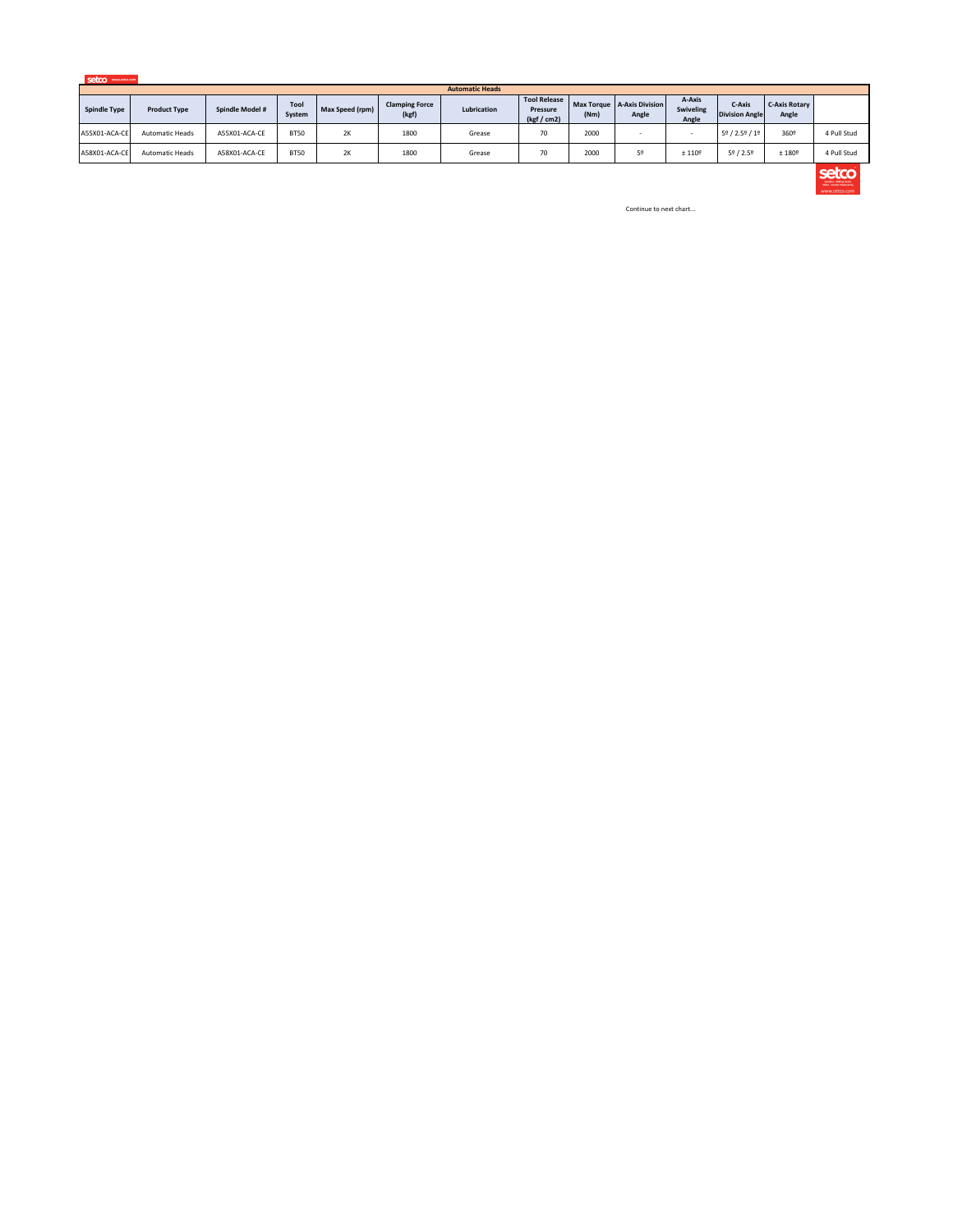| setco | www.setco.com |
|-------|---------------|
|       |               |
|       |               |

|                     | <b>Automatic Heads</b> |                 |                |                 |                                |             |                                                |      |                                       |                              |                                 |                               |             |
|---------------------|------------------------|-----------------|----------------|-----------------|--------------------------------|-------------|------------------------------------------------|------|---------------------------------------|------------------------------|---------------------------------|-------------------------------|-------------|
| <b>Spindle Type</b> | <b>Product Type</b>    | Spindle Model # | Tool<br>System | Max Speed (rpm) | <b>Clamping Force</b><br>(kgf) | Lubrication | <b>Tool Release</b><br>Pressure<br>(kgf / cm2) | (Nm) | Max Torque   A-Axis Division<br>Angle | A-Axis<br>Swiveling<br>Angle | C-Axis<br><b>Division Angle</b> | <b>C-Axis Rotary</b><br>Angle |             |
| A55X01-ACA-CE       | <b>Automatic Heads</b> | A55X01-ACA-CE   | <b>BT50</b>    | 2K              | 1800                           | Grease      | $\overline{\phantom{a}}$<br>7U                 | 2000 |                                       |                              | 5º / 2.5º / 1º                  | 360°                          | 4 Pull Stud |
| A58X01-ACA-CE       | <b>Automatic Heads</b> | A58X01-ACA-CE   | <b>BT50</b>    | 2K              | 1800                           | Grease      | $\overline{\phantom{a}}$<br>7U                 | 2000 |                                       | ± 110 <sup>°</sup>           | $5^{\circ}$ / 2.5%              | ±180°                         | 4 Pull Stud |



Continue to next chart...